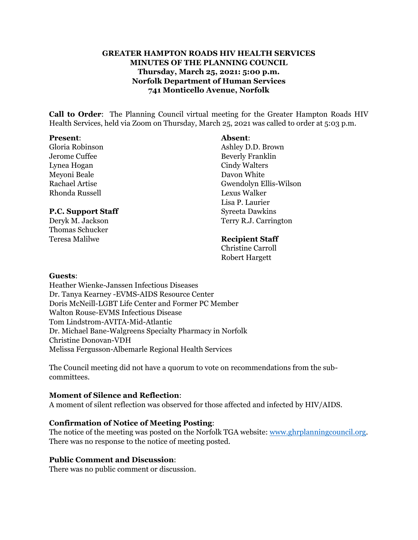## **GREATER HAMPTON ROADS HIV HEALTH SERVICES MINUTES OF THE PLANNING COUNCIL Thursday, March 25, 2021: 5:00 p.m. Norfolk Department of Human Services 741 Monticello Avenue, Norfolk**

**Call to Order**: The Planning Council virtual meeting for the Greater Hampton Roads HIV Health Services, held via Zoom on Thursday, March 25, 2021 was called to order at 5:03 p.m.

#### **Present**: **Absent**:

Lynea Hogan Cindy Walters Meyoni Beale Davon White Rhonda Russell Lexus Walker

#### **P.C. Support Staff** Syreeta Dawkins

Thomas Schucker Teresa Malilwe **Recipient Staff**

Gloria Robinson **Ashley D.D. Brown** Jerome Cuffee Beverly Franklin Rachael Artise Gwendolyn Ellis-Wilson Lisa P. Laurier Deryk M. Jackson Terry R.J. Carrington

Christine Carroll Robert Hargett

#### **Guests**:

Heather Wienke-Janssen Infectious Diseases Dr. Tanya Kearney -EVMS-AIDS Resource Center Doris McNeill-LGBT Life Center and Former PC Member Walton Rouse-EVMS Infectious Disease Tom Lindstrom-AVITA-Mid-Atlantic Dr. Michael Bane-Walgreens Specialty Pharmacy in Norfolk Christine Donovan-VDH Melissa Fergusson-Albemarle Regional Health Services

The Council meeting did not have a quorum to vote on recommendations from the subcommittees.

#### **Moment of Silence and Reflection**:

A moment of silent reflection was observed for those affected and infected by HIV/AIDS.

#### **Confirmation of Notice of Meeting Posting**:

The notice of the meeting was posted on the Norfolk TGA website: [www.ghrplanningcouncil.org.](http://www.ghrplanningcouncil.org/) There was no response to the notice of meeting posted.

## **Public Comment and Discussion**:

There was no public comment or discussion.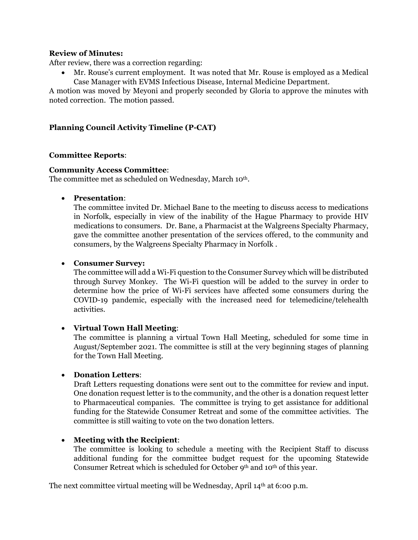#### **Review of Minutes:**

After review, there was a correction regarding:

• Mr. Rouse's current employment. It was noted that Mr. Rouse is employed as a Medical Case Manager with EVMS Infectious Disease, Internal Medicine Department.

A motion was moved by Meyoni and properly seconded by Gloria to approve the minutes with noted correction. The motion passed.

# **Planning Council Activity Timeline (P-CAT)**

## **Committee Reports**:

#### **Community Access Committee**:

The committee met as scheduled on Wednesday, March 10<sup>th</sup>.

#### • **Presentation**:

The committee invited Dr. Michael Bane to the meeting to discuss access to medications in Norfolk, especially in view of the inability of the Hague Pharmacy to provide HIV medications to consumers. Dr. Bane, a Pharmacist at the Walgreens Specialty Pharmacy, gave the committee another presentation of the services offered, to the community and consumers, by the Walgreens Specialty Pharmacy in Norfolk .

## • **Consumer Survey:**

The committee will add a Wi-Fi question to the Consumer Survey which will be distributed through Survey Monkey. The Wi-Fi question will be added to the survey in order to determine how the price of Wi-Fi services have affected some consumers during the COVID-19 pandemic, especially with the increased need for telemedicine/telehealth activities.

## • **Virtual Town Hall Meeting**:

The committee is planning a virtual Town Hall Meeting, scheduled for some time in August/September 2021. The committee is still at the very beginning stages of planning for the Town Hall Meeting.

## • **Donation Letters**:

Draft Letters requesting donations were sent out to the committee for review and input. One donation request letter is to the community, and the other is a donation request letter to Pharmaceutical companies. The committee is trying to get assistance for additional funding for the Statewide Consumer Retreat and some of the committee activities. The committee is still waiting to vote on the two donation letters.

## • **Meeting with the Recipient**:

The committee is looking to schedule a meeting with the Recipient Staff to discuss additional funding for the committee budget request for the upcoming Statewide Consumer Retreat which is scheduled for October 9<sup>th</sup> and 10<sup>th</sup> of this year.

The next committee virtual meeting will be Wednesday, April  $14<sup>th</sup>$  at 6:00 p.m.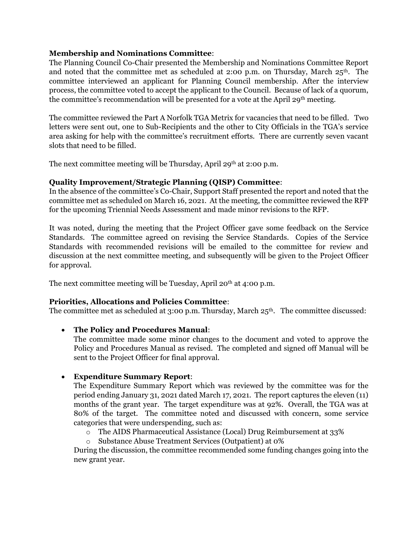## **Membership and Nominations Committee**:

The Planning Council Co-Chair presented the Membership and Nominations Committee Report and noted that the committee met as scheduled at 2:00 p.m. on Thursday, March  $25<sup>th</sup>$ . The committee interviewed an applicant for Planning Council membership. After the interview process, the committee voted to accept the applicant to the Council. Because of lack of a quorum, the committee's recommendation will be presented for a vote at the April 29th meeting.

The committee reviewed the Part A Norfolk TGA Metrix for vacancies that need to be filled. Two letters were sent out, one to Sub-Recipients and the other to City Officials in the TGA's service area asking for help with the committee's recruitment efforts. There are currently seven vacant slots that need to be filled.

The next committee meeting will be Thursday, April 29<sup>th</sup> at 2:00 p.m.

## **Quality Improvement/Strategic Planning (QISP) Committee**:

In the absence of the committee's Co-Chair, Support Staff presented the report and noted that the committee met as scheduled on March 16, 2021. At the meeting, the committee reviewed the RFP for the upcoming Triennial Needs Assessment and made minor revisions to the RFP.

It was noted, during the meeting that the Project Officer gave some feedback on the Service Standards. The committee agreed on revising the Service Standards. Copies of the Service Standards with recommended revisions will be emailed to the committee for review and discussion at the next committee meeting, and subsequently will be given to the Project Officer for approval.

The next committee meeting will be Tuesday, April 20<sup>th</sup> at 4:00 p.m.

## **Priorities, Allocations and Policies Committee**:

The committee met as scheduled at  $3:00$  p.m. Thursday, March  $25<sup>th</sup>$ . The committee discussed:

## • **The Policy and Procedures Manual**:

The committee made some minor changes to the document and voted to approve the Policy and Procedures Manual as revised. The completed and signed off Manual will be sent to the Project Officer for final approval.

## • **Expenditure Summary Report**:

The Expenditure Summary Report which was reviewed by the committee was for the period ending January 31, 2021 dated March 17, 2021. The report captures the eleven (11) months of the grant year. The target expenditure was at 92%. Overall, the TGA was at 80% of the target. The committee noted and discussed with concern, some service categories that were underspending, such as:

- o The AIDS Pharmaceutical Assistance (Local) Drug Reimbursement at 33%
- o Substance Abuse Treatment Services (Outpatient) at 0%

During the discussion, the committee recommended some funding changes going into the new grant year.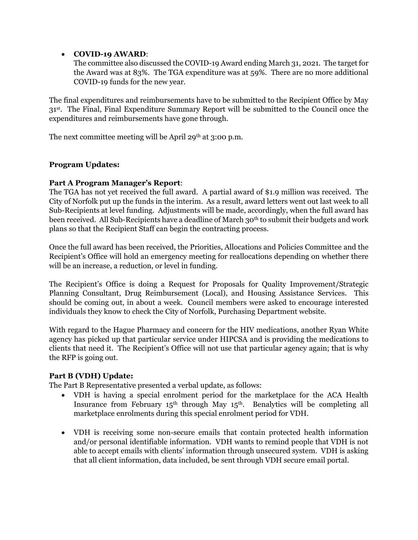# • **COVID-19 AWARD**:

The committee also discussed the COVID-19 Award ending March 31, 2021. The target for the Award was at 83%. The TGA expenditure was at 59%. There are no more additional COVID-19 funds for the new year.

The final expenditures and reimbursements have to be submitted to the Recipient Office by May 31st. The Final, Final Expenditure Summary Report will be submitted to the Council once the expenditures and reimbursements have gone through.

The next committee meeting will be April 29<sup>th</sup> at 3:00 p.m.

# **Program Updates:**

# **Part A Program Manager's Report**:

The TGA has not yet received the full award. A partial award of \$1.9 million was received. The City of Norfolk put up the funds in the interim. As a result, award letters went out last week to all Sub-Recipients at level funding. Adjustments will be made, accordingly, when the full award has been received. All Sub-Recipients have a deadline of March 30<sup>th</sup> to submit their budgets and work plans so that the Recipient Staff can begin the contracting process.

Once the full award has been received, the Priorities, Allocations and Policies Committee and the Recipient's Office will hold an emergency meeting for reallocations depending on whether there will be an increase, a reduction, or level in funding.

The Recipient's Office is doing a Request for Proposals for Quality Improvement/Strategic Planning Consultant, Drug Reimbursement (Local), and Housing Assistance Services. This should be coming out, in about a week. Council members were asked to encourage interested individuals they know to check the City of Norfolk, Purchasing Department website.

With regard to the Hague Pharmacy and concern for the HIV medications, another Ryan White agency has picked up that particular service under HIPCSA and is providing the medications to clients that need it. The Recipient's Office will not use that particular agency again; that is why the RFP is going out.

## **Part B (VDH) Update:**

The Part B Representative presented a verbal update, as follows:

- VDH is having a special enrolment period for the marketplace for the ACA Health Insurance from February 15<sup>th</sup> through May 15<sup>th</sup>. Benalytics will be completing all marketplace enrolments during this special enrolment period for VDH.
- VDH is receiving some non-secure emails that contain protected health information and/or personal identifiable information. VDH wants to remind people that VDH is not able to accept emails with clients' information through unsecured system. VDH is asking that all client information, data included, be sent through VDH secure email portal.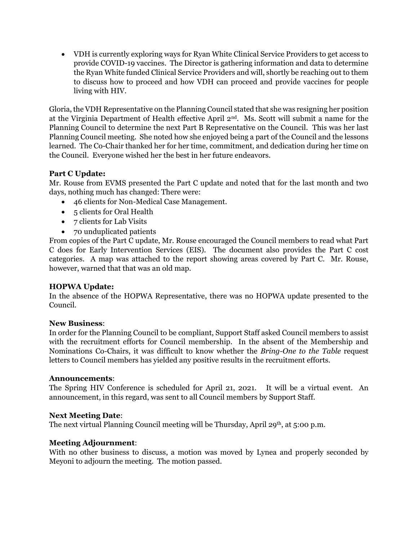• VDH is currently exploring ways for Ryan White Clinical Service Providers to get access to provide COVID-19 vaccines. The Director is gathering information and data to determine the Ryan White funded Clinical Service Providers and will, shortly be reaching out to them to discuss how to proceed and how VDH can proceed and provide vaccines for people living with HIV.

Gloria, the VDH Representative on the Planning Council stated that she was resigning her position at the Virginia Department of Health effective April 2nd. Ms. Scott will submit a name for the Planning Council to determine the next Part B Representative on the Council. This was her last Planning Council meeting. She noted how she enjoyed being a part of the Council and the lessons learned. The Co-Chair thanked her for her time, commitment, and dedication during her time on the Council. Everyone wished her the best in her future endeavors.

# **Part C Update:**

Mr. Rouse from EVMS presented the Part C update and noted that for the last month and two days, nothing much has changed: There were:

- 46 clients for Non-Medical Case Management.
- 5 clients for Oral Health
- 7 clients for Lab Visits
- 70 unduplicated patients

From copies of the Part C update, Mr. Rouse encouraged the Council members to read what Part C does for Early Intervention Services (EIS). The document also provides the Part C cost categories. A map was attached to the report showing areas covered by Part C. Mr. Rouse, however, warned that that was an old map.

## **HOPWA Update:**

In the absence of the HOPWA Representative, there was no HOPWA update presented to the Council.

## **New Business**:

In order for the Planning Council to be compliant, Support Staff asked Council members to assist with the recruitment efforts for Council membership. In the absent of the Membership and Nominations Co-Chairs, it was difficult to know whether the *Bring-One to the Table* request letters to Council members has yielded any positive results in the recruitment efforts.

#### **Announcements**:

The Spring HIV Conference is scheduled for April 21, 2021. It will be a virtual event. An announcement, in this regard, was sent to all Council members by Support Staff.

## **Next Meeting Date**:

The next virtual Planning Council meeting will be Thursday, April 29<sup>th</sup>, at 5:00 p.m.

## **Meeting Adjournment**:

With no other business to discuss, a motion was moved by Lynea and properly seconded by Meyoni to adjourn the meeting. The motion passed.